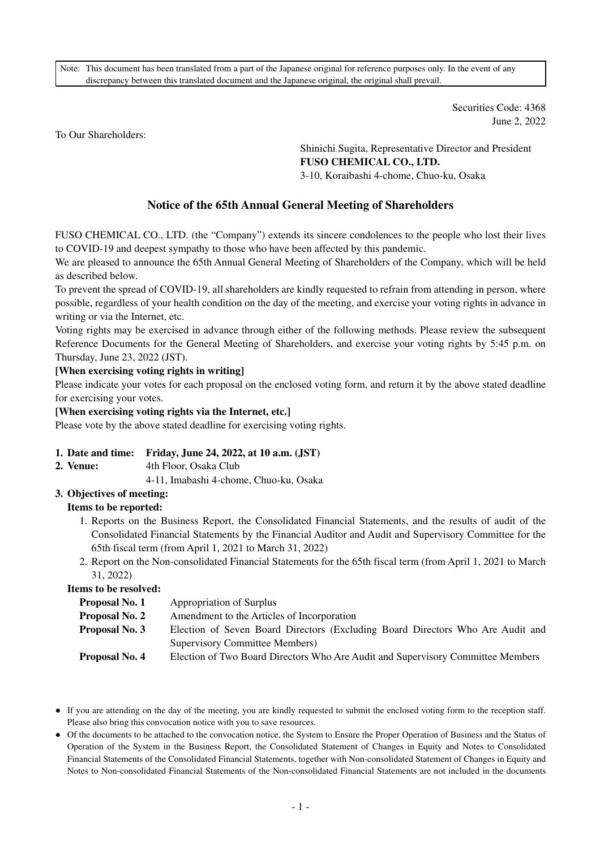Note: This document has been translated from a part of the Japanese original for reference purposes only. In the event of any discrepancy between this translated document and the Japanese original, the original shall prevail.

> Securities Code: 4368 June 2, 2022

To Our Shareholders:

Shinichi Sugita, Representative Director and President **FUSO CHEMICAL CO., LTD.**  3-10, Koraibashi 4-chome, Chuo-ku, Osaka

# **Notice of the 65th Annual General Meeting of Shareholders**

FUSO CHEMICAL CO., LTD. (the "Company") extends its sincere condolences to the people who lost their lives to COVID-19 and deepest sympathy to those who have been affected by this pandemic.

We are pleased to announce the 65th Annual General Meeting of Shareholders of the Company, which will be held as described below.

To prevent the spread of COVID-19, all shareholders are kindly requested to refrain from attending in person, where possible, regardless of your health condition on the day of the meeting, and exercise your voting rights in advance in writing or via the Internet, etc.

Voting rights may be exercised in advance through either of the following methods. Please review the subsequent Reference Documents for the General Meeting of Shareholders, and exercise your voting rights by 5:45 p.m. on Thursday, June 23, 2022 (JST).

#### **[When exercising voting rights in writing]**

Please indicate your votes for each proposal on the enclosed voting form, and return it by the above stated deadline for exercising your votes.

**[When exercising voting rights via the Internet, etc.]** 

Please vote by the above stated deadline for exercising voting rights.

#### **1. Date and time: Friday, June 24, 2022, at 10 a.m. (JST)**

**2. Venue:** 4th Floor, Osaka Club

4-11, Imabashi 4-chome, Chuo-ku, Osaka

**3. Objectives of meeting:** 

# **Items to be reported:**

- 1. Reports on the Business Report, the Consolidated Financial Statements, and the results of audit of the Consolidated Financial Statements by the Financial Auditor and Audit and Supervisory Committee for the 65th fiscal term (from April 1, 2021 to March 31, 2022)
- 2. Report on the Non-consolidated Financial Statements for the 65th fiscal term (from April 1, 2021 to March 31, 2022)

**Items to be resolved:** 

| Proposal No. 1 | Appropriation of Surplus                                                        |
|----------------|---------------------------------------------------------------------------------|
| Proposal No. 2 | Amendment to the Articles of Incorporation                                      |
| Proposal No. 3 | Election of Seven Board Directors (Excluding Board Directors Who Are Audit and  |
|                | Supervisory Committee Members)                                                  |
| Proposal No. 4 | Election of Two Board Directors Who Are Audit and Supervisory Committee Members |

● If you are attending on the day of the meeting, you are kindly requested to submit the enclosed voting form to the reception staff. Please also bring this convocation notice with you to save resources.

● Of the documents to be attached to the convocation notice, the System to Ensure the Proper Operation of Business and the Status of Operation of the System in the Business Report, the Consolidated Statement of Changes in Equity and Notes to Consolidated Financial Statements of the Consolidated Financial Statements, together with Non-consolidated Statement of Changes in Equity and Notes to Non-consolidated Financial Statements of the Non-consolidated Financial Statements are not included in the documents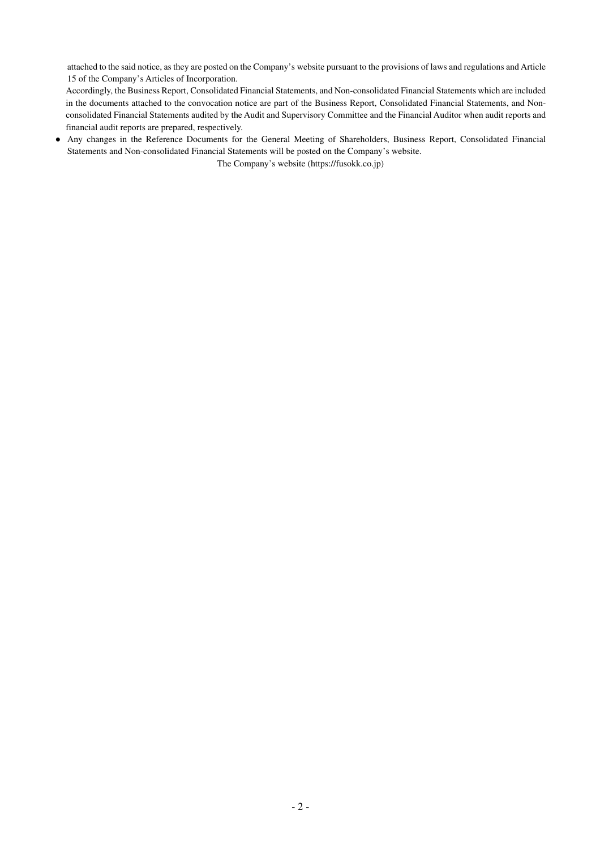attached to the said notice, as they are posted on the Company's website pursuant to the provisions of laws and regulations and Article 15 of the Company's Articles of Incorporation.

Accordingly, the Business Report, Consolidated Financial Statements, and Non-consolidated Financial Statements which are included in the documents attached to the convocation notice are part of the Business Report, Consolidated Financial Statements, and Nonconsolidated Financial Statements audited by the Audit and Supervisory Committee and the Financial Auditor when audit reports and financial audit reports are prepared, respectively.

● Any changes in the Reference Documents for the General Meeting of Shareholders, Business Report, Consolidated Financial Statements and Non-consolidated Financial Statements will be posted on the Company's website.

The Company's website (https://fusokk.co.jp)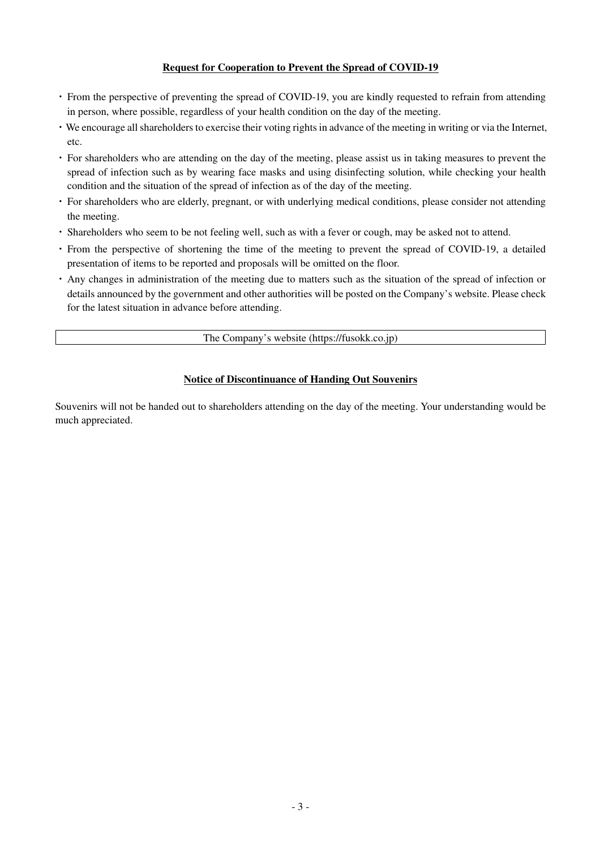### **Request for Cooperation to Prevent the Spread of COVID-19**

- ・ From the perspective of preventing the spread of COVID-19, you are kindly requested to refrain from attending in person, where possible, regardless of your health condition on the day of the meeting.
- ・We encourage all shareholders to exercise their voting rights in advance of the meeting in writing or via the Internet, etc.
- ・ For shareholders who are attending on the day of the meeting, please assist us in taking measures to prevent the spread of infection such as by wearing face masks and using disinfecting solution, while checking your health condition and the situation of the spread of infection as of the day of the meeting.
- ・ For shareholders who are elderly, pregnant, or with underlying medical conditions, please consider not attending the meeting.
- ・ Shareholders who seem to be not feeling well, such as with a fever or cough, may be asked not to attend.
- ・ From the perspective of shortening the time of the meeting to prevent the spread of COVID-19, a detailed presentation of items to be reported and proposals will be omitted on the floor.
- ・ Any changes in administration of the meeting due to matters such as the situation of the spread of infection or details announced by the government and other authorities will be posted on the Company's website. Please check for the latest situation in advance before attending.

The Company's website (https://fusokk.co.jp)

### **Notice of Discontinuance of Handing Out Souvenirs**

Souvenirs will not be handed out to shareholders attending on the day of the meeting. Your understanding would be much appreciated.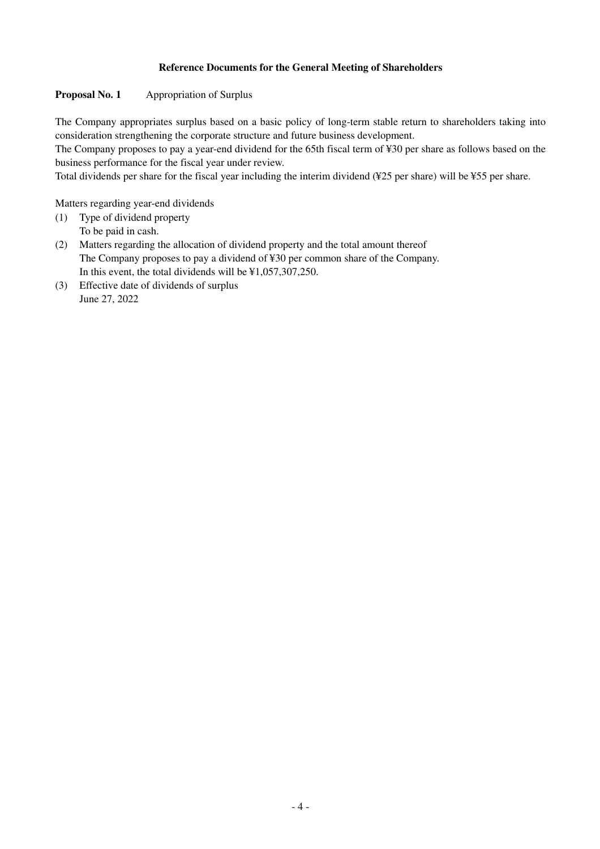# **Reference Documents for the General Meeting of Shareholders**

# **Proposal No. 1** Appropriation of Surplus

The Company appropriates surplus based on a basic policy of long-term stable return to shareholders taking into consideration strengthening the corporate structure and future business development.

The Company proposes to pay a year-end dividend for the 65th fiscal term of ¥30 per share as follows based on the business performance for the fiscal year under review.

Total dividends per share for the fiscal year including the interim dividend (¥25 per share) will be ¥55 per share.

Matters regarding year-end dividends

- (1) Type of dividend property To be paid in cash.
- (2) Matters regarding the allocation of dividend property and the total amount thereof The Company proposes to pay a dividend of ¥30 per common share of the Company. In this event, the total dividends will be ¥1,057,307,250.
- (3) Effective date of dividends of surplus June 27, 2022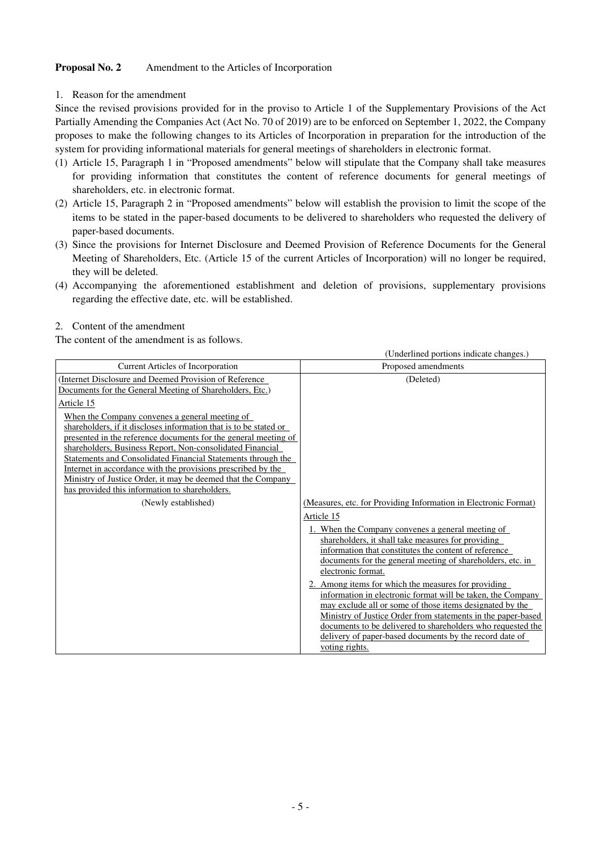## **Proposal No. 2** Amendment to the Articles of Incorporation

1. Reason for the amendment

Since the revised provisions provided for in the proviso to Article 1 of the Supplementary Provisions of the Act Partially Amending the Companies Act (Act No. 70 of 2019) are to be enforced on September 1, 2022, the Company proposes to make the following changes to its Articles of Incorporation in preparation for the introduction of the system for providing informational materials for general meetings of shareholders in electronic format.

- (1) Article 15, Paragraph 1 in "Proposed amendments" below will stipulate that the Company shall take measures for providing information that constitutes the content of reference documents for general meetings of shareholders, etc. in electronic format.
- (2) Article 15, Paragraph 2 in "Proposed amendments" below will establish the provision to limit the scope of the items to be stated in the paper-based documents to be delivered to shareholders who requested the delivery of paper-based documents.
- (3) Since the provisions for Internet Disclosure and Deemed Provision of Reference Documents for the General Meeting of Shareholders, Etc. (Article 15 of the current Articles of Incorporation) will no longer be required, they will be deleted.
- (4) Accompanying the aforementioned establishment and deletion of provisions, supplementary provisions regarding the effective date, etc. will be established.

#### 2. Content of the amendment

The content of the amendment is as follows.

|                                                                                                                           | (Underlined portions indicate changes.)                                          |
|---------------------------------------------------------------------------------------------------------------------------|----------------------------------------------------------------------------------|
| Current Articles of Incorporation                                                                                         | Proposed amendments                                                              |
| (Internet Disclosure and Deemed Provision of Reference)                                                                   | (Deleted)                                                                        |
| Documents for the General Meeting of Shareholders, Etc.)                                                                  |                                                                                  |
| Article 15                                                                                                                |                                                                                  |
| When the Company convenes a general meeting of                                                                            |                                                                                  |
| shareholders, if it discloses information that is to be stated or                                                         |                                                                                  |
| presented in the reference documents for the general meeting of                                                           |                                                                                  |
| shareholders, Business Report, Non-consolidated Financial<br>Statements and Consolidated Financial Statements through the |                                                                                  |
| Internet in accordance with the provisions prescribed by the                                                              |                                                                                  |
| Ministry of Justice Order, it may be deemed that the Company                                                              |                                                                                  |
| has provided this information to shareholders.                                                                            |                                                                                  |
| (Newly established)                                                                                                       | (Measures, etc. for Providing Information in Electronic Format)                  |
|                                                                                                                           | Article 15                                                                       |
|                                                                                                                           | 1. When the Company convenes a general meeting of                                |
|                                                                                                                           | shareholders, it shall take measures for providing                               |
|                                                                                                                           | information that constitutes the content of reference                            |
|                                                                                                                           | documents for the general meeting of shareholders, etc. in<br>electronic format. |
|                                                                                                                           | 2. Among items for which the measures for providing                              |
|                                                                                                                           | information in electronic format will be taken, the Company                      |
|                                                                                                                           | may exclude all or some of those items designated by the                         |
|                                                                                                                           | Ministry of Justice Order from statements in the paper-based                     |
|                                                                                                                           | documents to be delivered to shareholders who requested the                      |
|                                                                                                                           | delivery of paper-based documents by the record date of                          |
|                                                                                                                           | voting rights.                                                                   |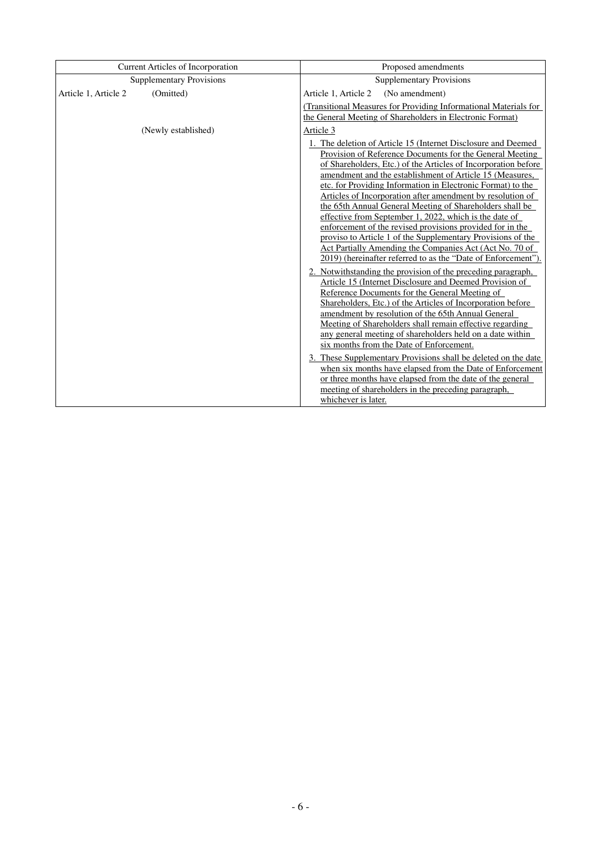|                      | Current Articles of Incorporation | Proposed amendments                                                                                                                                                                                                                                                                                                                                                                                                                                                                                                                                                                                                                                                                                                                                                                                                                                                                                                                                                                                                                                                                                                                                                                                                                                                                                                                                                                                                                                                                                              |  |  |  |  |
|----------------------|-----------------------------------|------------------------------------------------------------------------------------------------------------------------------------------------------------------------------------------------------------------------------------------------------------------------------------------------------------------------------------------------------------------------------------------------------------------------------------------------------------------------------------------------------------------------------------------------------------------------------------------------------------------------------------------------------------------------------------------------------------------------------------------------------------------------------------------------------------------------------------------------------------------------------------------------------------------------------------------------------------------------------------------------------------------------------------------------------------------------------------------------------------------------------------------------------------------------------------------------------------------------------------------------------------------------------------------------------------------------------------------------------------------------------------------------------------------------------------------------------------------------------------------------------------------|--|--|--|--|
|                      | <b>Supplementary Provisions</b>   | <b>Supplementary Provisions</b>                                                                                                                                                                                                                                                                                                                                                                                                                                                                                                                                                                                                                                                                                                                                                                                                                                                                                                                                                                                                                                                                                                                                                                                                                                                                                                                                                                                                                                                                                  |  |  |  |  |
| Article 1, Article 2 | (Omitted)                         | Article 1, Article 2<br>(No amendment)                                                                                                                                                                                                                                                                                                                                                                                                                                                                                                                                                                                                                                                                                                                                                                                                                                                                                                                                                                                                                                                                                                                                                                                                                                                                                                                                                                                                                                                                           |  |  |  |  |
|                      |                                   | (Transitional Measures for Providing Informational Materials for                                                                                                                                                                                                                                                                                                                                                                                                                                                                                                                                                                                                                                                                                                                                                                                                                                                                                                                                                                                                                                                                                                                                                                                                                                                                                                                                                                                                                                                 |  |  |  |  |
|                      |                                   | the General Meeting of Shareholders in Electronic Format)                                                                                                                                                                                                                                                                                                                                                                                                                                                                                                                                                                                                                                                                                                                                                                                                                                                                                                                                                                                                                                                                                                                                                                                                                                                                                                                                                                                                                                                        |  |  |  |  |
|                      | (Newly established)               | Article 3                                                                                                                                                                                                                                                                                                                                                                                                                                                                                                                                                                                                                                                                                                                                                                                                                                                                                                                                                                                                                                                                                                                                                                                                                                                                                                                                                                                                                                                                                                        |  |  |  |  |
|                      |                                   | The deletion of Article 15 (Internet Disclosure and Deemed<br>Provision of Reference Documents for the General Meeting<br>of Shareholders, Etc.) of the Articles of Incorporation before<br>amendment and the establishment of Article 15 (Measures,<br>etc. for Providing Information in Electronic Format) to the<br>Articles of Incorporation after amendment by resolution of<br>the 65th Annual General Meeting of Shareholders shall be<br>effective from September 1, 2022, which is the date of<br>enforcement of the revised provisions provided for in the<br>proviso to Article 1 of the Supplementary Provisions of the<br>Act Partially Amending the Companies Act (Act No. 70 of<br>2019) (hereinafter referred to as the "Date of Enforcement").<br>2. Notwithstanding the provision of the preceding paragraph,<br>Article 15 (Internet Disclosure and Deemed Provision of<br>Reference Documents for the General Meeting of<br>Shareholders, Etc.) of the Articles of Incorporation before<br>amendment by resolution of the 65th Annual General<br>Meeting of Shareholders shall remain effective regarding<br>any general meeting of shareholders held on a date within<br>six months from the Date of Enforcement.<br>3. These Supplementary Provisions shall be deleted on the date<br>when six months have elapsed from the Date of Enforcement<br>or three months have elapsed from the date of the general<br>meeting of shareholders in the preceding paragraph,<br>whichever is later. |  |  |  |  |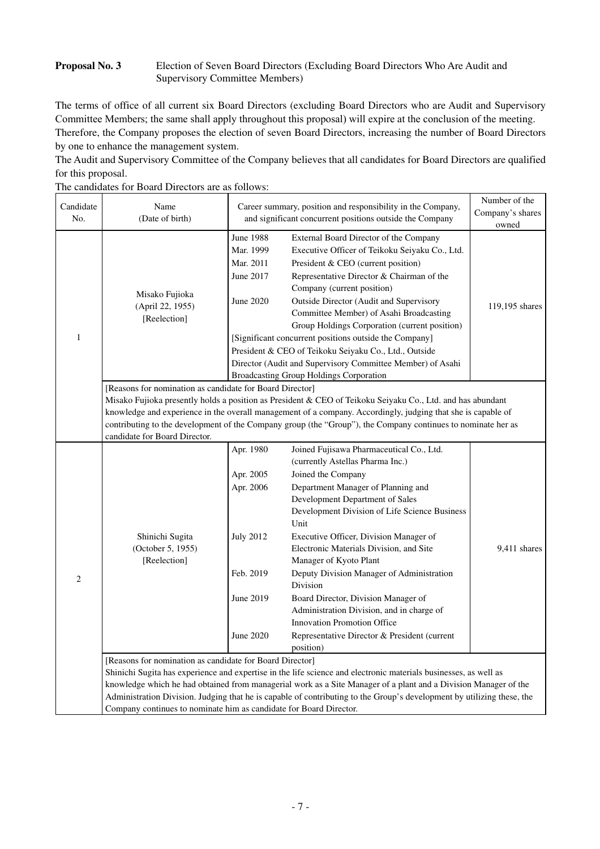# **Proposal No. 3** Election of Seven Board Directors (Excluding Board Directors Who Are Audit and Supervisory Committee Members)

The terms of office of all current six Board Directors (excluding Board Directors who are Audit and Supervisory Committee Members; the same shall apply throughout this proposal) will expire at the conclusion of the meeting. Therefore, the Company proposes the election of seven Board Directors, increasing the number of Board Directors by one to enhance the management system.

The Audit and Supervisory Committee of the Company believes that all candidates for Board Directors are qualified for this proposal.

| Candidate<br>No. | Name<br>(Date of birth)                                                                                          |                                                                                                | Career summary, position and responsibility in the Company,<br>Company's shares<br>and significant concurrent positions outside the Company<br>External Board Director of the Company<br>Executive Officer of Teikoku Seiyaku Co., Ltd.                                                                                                                                                                                                                                                                                                                                                             |                |  |  |  |
|------------------|------------------------------------------------------------------------------------------------------------------|------------------------------------------------------------------------------------------------|-----------------------------------------------------------------------------------------------------------------------------------------------------------------------------------------------------------------------------------------------------------------------------------------------------------------------------------------------------------------------------------------------------------------------------------------------------------------------------------------------------------------------------------------------------------------------------------------------------|----------------|--|--|--|
| $\mathbf{1}$     | Misako Fujioka<br>(April 22, 1955)<br>[Reelection]                                                               | June 1988<br>Mar. 1999<br>Mar. 2011<br>June 2017<br>June 2020                                  | President & CEO (current position)<br>Representative Director & Chairman of the<br>Company (current position)<br>Outside Director (Audit and Supervisory<br>Committee Member) of Asahi Broadcasting<br>Group Holdings Corporation (current position)<br>[Significant concurrent positions outside the Company]<br>President & CEO of Teikoku Seiyaku Co., Ltd., Outside<br>Director (Audit and Supervisory Committee Member) of Asahi<br><b>Broadcasting Group Holdings Corporation</b>                                                                                                             | 119,195 shares |  |  |  |
|                  | [Reasons for nomination as candidate for Board Director]<br>candidate for Board Director.                        |                                                                                                | Misako Fujioka presently holds a position as President & CEO of Teikoku Seiyaku Co., Ltd. and has abundant<br>knowledge and experience in the overall management of a company. Accordingly, judging that she is capable of<br>contributing to the development of the Company group (the "Group"), the Company continues to nominate her as                                                                                                                                                                                                                                                          |                |  |  |  |
| $\mathbf{2}$     | Shinichi Sugita<br>(October 5, 1955)<br>[Reelection]<br>[Reasons for nomination as candidate for Board Director] | Apr. 1980<br>Apr. 2005<br>Apr. 2006<br><b>July 2012</b><br>Feb. 2019<br>June 2019<br>June 2020 | Joined Fujisawa Pharmaceutical Co., Ltd.<br>(currently Astellas Pharma Inc.)<br>Joined the Company<br>Department Manager of Planning and<br>Development Department of Sales<br>Development Division of Life Science Business<br>Unit<br>Executive Officer, Division Manager of<br>Electronic Materials Division, and Site<br>Manager of Kyoto Plant<br>Deputy Division Manager of Administration<br>Division<br>Board Director, Division Manager of<br>Administration Division, and in charge of<br><b>Innovation Promotion Office</b><br>Representative Director & President (current<br>position) | 9,411 shares   |  |  |  |
|                  | Company continues to nominate him as candidate for Board Director.                                               |                                                                                                | Shinichi Sugita has experience and expertise in the life science and electronic materials businesses, as well as<br>knowledge which he had obtained from managerial work as a Site Manager of a plant and a Division Manager of the<br>Administration Division. Judging that he is capable of contributing to the Group's development by utilizing these, the                                                                                                                                                                                                                                       |                |  |  |  |

The candidates for Board Directors are as follows: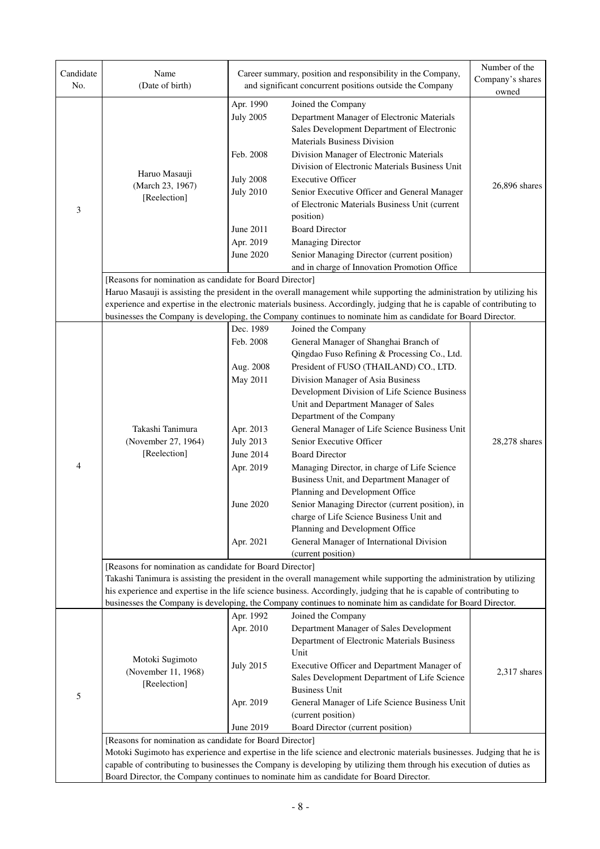| Candidate<br>No. | Name<br>(Date of birth)                                                                                                                                                                                                                                                                                                                                                                                |                                                                                                                                                                                                                                                                                                                                                                 | Career summary, position and responsibility in the Company,<br>and significant concurrent positions outside the Company                                                                                                                                                                                                                                                                                                                                                                                                                                                                                                                                                                                                                                    | Number of the<br>Company's shares<br>owned |  |  |  |  |
|------------------|--------------------------------------------------------------------------------------------------------------------------------------------------------------------------------------------------------------------------------------------------------------------------------------------------------------------------------------------------------------------------------------------------------|-----------------------------------------------------------------------------------------------------------------------------------------------------------------------------------------------------------------------------------------------------------------------------------------------------------------------------------------------------------------|------------------------------------------------------------------------------------------------------------------------------------------------------------------------------------------------------------------------------------------------------------------------------------------------------------------------------------------------------------------------------------------------------------------------------------------------------------------------------------------------------------------------------------------------------------------------------------------------------------------------------------------------------------------------------------------------------------------------------------------------------------|--------------------------------------------|--|--|--|--|
| 3                | Haruo Masauji<br>(March 23, 1967)<br>[Reelection]                                                                                                                                                                                                                                                                                                                                                      | Apr. 1990<br><b>July 2005</b><br>Feb. 2008<br><b>July 2008</b><br><b>July 2010</b><br>June 2011<br>Apr. 2019<br>June 2020                                                                                                                                                                                                                                       | Joined the Company<br>Department Manager of Electronic Materials<br>Sales Development Department of Electronic<br>Materials Business Division<br>Division Manager of Electronic Materials<br>Division of Electronic Materials Business Unit<br><b>Executive Officer</b><br>Senior Executive Officer and General Manager<br>of Electronic Materials Business Unit (current<br>position)<br><b>Board Director</b><br><b>Managing Director</b><br>Senior Managing Director (current position)                                                                                                                                                                                                                                                                 |                                            |  |  |  |  |
|                  | [Reasons for nomination as candidate for Board Director]                                                                                                                                                                                                                                                                                                                                               |                                                                                                                                                                                                                                                                                                                                                                 | and in charge of Innovation Promotion Office<br>Haruo Masauji is assisting the president in the overall management while supporting the administration by utilizing his<br>experience and expertise in the electronic materials business. Accordingly, judging that he is capable of contributing to<br>businesses the Company is developing, the Company continues to nominate him as candidate for Board Director.                                                                                                                                                                                                                                                                                                                                       |                                            |  |  |  |  |
| 4                | Takashi Tanimura<br>(November 27, 1964)<br>[Reelection]                                                                                                                                                                                                                                                                                                                                                | Dec. 1989<br>Feb. 2008<br>Aug. 2008<br>May 2011<br>Apr. 2013<br><b>July 2013</b><br>June 2014<br>Apr. 2019<br>June 2020<br>Apr. 2021                                                                                                                                                                                                                            | Joined the Company<br>General Manager of Shanghai Branch of<br>Qingdao Fuso Refining & Processing Co., Ltd.<br>President of FUSO (THAILAND) CO., LTD.<br>Division Manager of Asia Business<br>Development Division of Life Science Business<br>Unit and Department Manager of Sales<br>Department of the Company<br>General Manager of Life Science Business Unit<br>Senior Executive Officer<br><b>Board Director</b><br>Managing Director, in charge of Life Science<br>Business Unit, and Department Manager of<br>Planning and Development Office<br>Senior Managing Director (current position), in<br>charge of Life Science Business Unit and<br>Planning and Development Office<br>General Manager of International Division<br>(current position) | 28,278 shares                              |  |  |  |  |
|                  | [Reasons for nomination as candidate for Board Director]                                                                                                                                                                                                                                                                                                                                               | Takashi Tanimura is assisting the president in the overall management while supporting the administration by utilizing<br>his experience and expertise in the life science business. Accordingly, judging that he is capable of contributing to<br>businesses the Company is developing, the Company continues to nominate him as candidate for Board Director. |                                                                                                                                                                                                                                                                                                                                                                                                                                                                                                                                                                                                                                                                                                                                                            |                                            |  |  |  |  |
| 5                | Motoki Sugimoto<br>(November 11, 1968)<br>[Reelection]                                                                                                                                                                                                                                                                                                                                                 | Apr. 1992<br>Apr. 2010<br><b>July 2015</b><br>Apr. 2019<br>June 2019                                                                                                                                                                                                                                                                                            | Joined the Company<br>Department Manager of Sales Development<br>Department of Electronic Materials Business<br>Unit<br>Executive Officer and Department Manager of<br>Sales Development Department of Life Science<br><b>Business Unit</b><br>General Manager of Life Science Business Unit<br>(current position)<br>Board Director (current position)                                                                                                                                                                                                                                                                                                                                                                                                    | 2,317 shares                               |  |  |  |  |
|                  | [Reasons for nomination as candidate for Board Director]<br>Motoki Sugimoto has experience and expertise in the life science and electronic materials businesses. Judging that he is<br>capable of contributing to businesses the Company is developing by utilizing them through his execution of duties as<br>Board Director, the Company continues to nominate him as candidate for Board Director. |                                                                                                                                                                                                                                                                                                                                                                 |                                                                                                                                                                                                                                                                                                                                                                                                                                                                                                                                                                                                                                                                                                                                                            |                                            |  |  |  |  |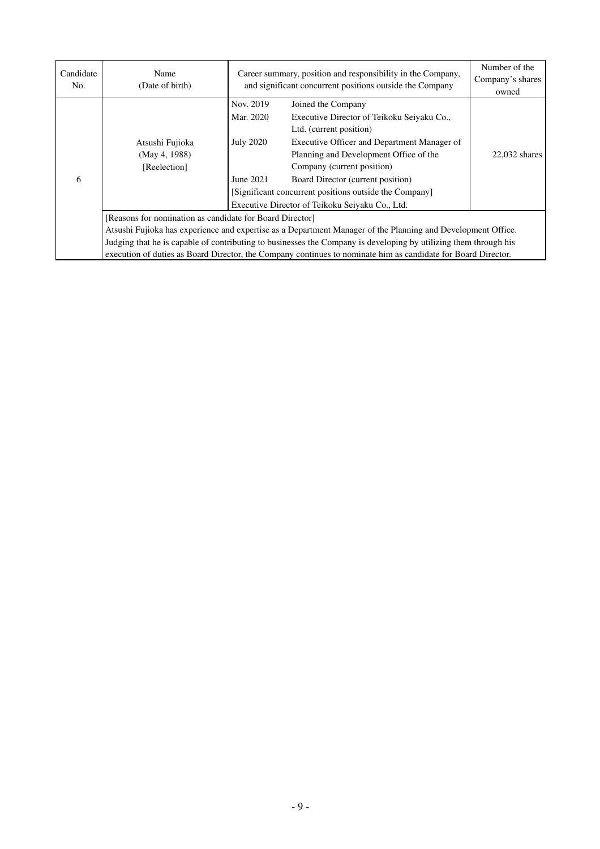| Candidate<br>No. | Name<br>(Date of birth)                                                                                          | Career summary, position and responsibility in the Company,<br>and significant concurrent positions outside the Company | Number of the<br>Company's shares<br>owned                                                                                                                                                                                                              |                 |  |  |  |
|------------------|------------------------------------------------------------------------------------------------------------------|-------------------------------------------------------------------------------------------------------------------------|---------------------------------------------------------------------------------------------------------------------------------------------------------------------------------------------------------------------------------------------------------|-----------------|--|--|--|
| 6                | Atsushi Fujioka<br>(May 4, 1988)<br>[Reelection]                                                                 | Nov. 2019<br>Mar. 2020<br><b>July 2020</b><br>June 2021                                                                 | Joined the Company<br>Executive Director of Teikoku Seiyaku Co.,<br>Ltd. (current position)<br>Executive Officer and Department Manager of<br>Planning and Development Office of the<br>Company (current position)<br>Board Director (current position) | $22,032$ shares |  |  |  |
|                  |                                                                                                                  | [Significant concurrent positions outside the Company]<br>Executive Director of Teikoku Seiyaku Co., Ltd.               |                                                                                                                                                                                                                                                         |                 |  |  |  |
|                  | [Reasons for nomination as candidate for Board Director]                                                         |                                                                                                                         |                                                                                                                                                                                                                                                         |                 |  |  |  |
|                  |                                                                                                                  |                                                                                                                         | Atsushi Fujioka has experience and expertise as a Department Manager of the Planning and Development Office.                                                                                                                                            |                 |  |  |  |
|                  | Judging that he is capable of contributing to businesses the Company is developing by utilizing them through his |                                                                                                                         |                                                                                                                                                                                                                                                         |                 |  |  |  |
|                  |                                                                                                                  |                                                                                                                         | execution of duties as Board Director, the Company continues to nominate him as candidate for Board Director.                                                                                                                                           |                 |  |  |  |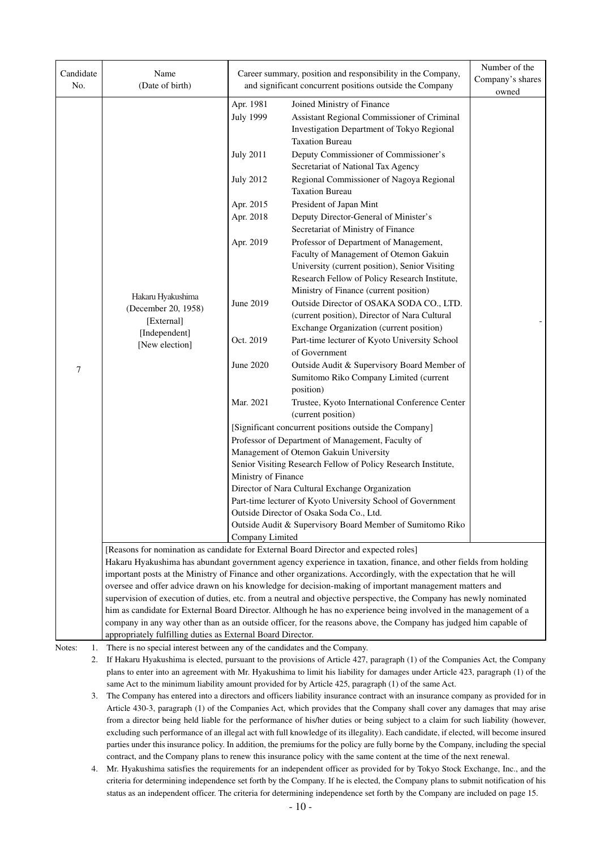| Candidate<br>No. | Name<br>(Date of birth)                                                                                                         |                                                                              | Career summary, position and responsibility in the Company,<br>and significant concurrent positions outside the Company                                                                                                       | Number of the<br>Company's shares<br>owned |  |  |  |  |
|------------------|---------------------------------------------------------------------------------------------------------------------------------|------------------------------------------------------------------------------|-------------------------------------------------------------------------------------------------------------------------------------------------------------------------------------------------------------------------------|--------------------------------------------|--|--|--|--|
|                  |                                                                                                                                 | Apr. 1981<br><b>July 1999</b>                                                | Joined Ministry of Finance<br>Assistant Regional Commissioner of Criminal<br>Investigation Department of Tokyo Regional<br><b>Taxation Bureau</b>                                                                             |                                            |  |  |  |  |
|                  |                                                                                                                                 | <b>July 2011</b>                                                             | Deputy Commissioner of Commissioner's<br>Secretariat of National Tax Agency                                                                                                                                                   |                                            |  |  |  |  |
|                  |                                                                                                                                 | <b>July 2012</b>                                                             | Regional Commissioner of Nagoya Regional<br><b>Taxation Bureau</b>                                                                                                                                                            |                                            |  |  |  |  |
|                  |                                                                                                                                 | Apr. 2015                                                                    | President of Japan Mint                                                                                                                                                                                                       |                                            |  |  |  |  |
|                  |                                                                                                                                 | Apr. 2018                                                                    | Deputy Director-General of Minister's<br>Secretariat of Ministry of Finance                                                                                                                                                   |                                            |  |  |  |  |
|                  |                                                                                                                                 | Apr. 2019                                                                    | Professor of Department of Management,                                                                                                                                                                                        |                                            |  |  |  |  |
|                  |                                                                                                                                 |                                                                              | Faculty of Management of Otemon Gakuin                                                                                                                                                                                        |                                            |  |  |  |  |
|                  |                                                                                                                                 |                                                                              | University (current position), Senior Visiting                                                                                                                                                                                |                                            |  |  |  |  |
|                  |                                                                                                                                 |                                                                              | Research Fellow of Policy Research Institute,                                                                                                                                                                                 |                                            |  |  |  |  |
|                  | Hakaru Hyakushima                                                                                                               | June 2019                                                                    | Ministry of Finance (current position)                                                                                                                                                                                        |                                            |  |  |  |  |
|                  | (December 20, 1958)                                                                                                             |                                                                              | Outside Director of OSAKA SODA CO., LTD.<br>(current position), Director of Nara Cultural                                                                                                                                     |                                            |  |  |  |  |
|                  | [External]                                                                                                                      |                                                                              | Exchange Organization (current position)                                                                                                                                                                                      |                                            |  |  |  |  |
|                  | [Independent]                                                                                                                   | Oct. 2019                                                                    | Part-time lecturer of Kyoto University School                                                                                                                                                                                 |                                            |  |  |  |  |
|                  | [New election]                                                                                                                  |                                                                              | of Government                                                                                                                                                                                                                 |                                            |  |  |  |  |
| 7                |                                                                                                                                 | June 2020                                                                    | Outside Audit & Supervisory Board Member of                                                                                                                                                                                   |                                            |  |  |  |  |
|                  |                                                                                                                                 |                                                                              | Sumitomo Riko Company Limited (current                                                                                                                                                                                        |                                            |  |  |  |  |
|                  |                                                                                                                                 |                                                                              | position)                                                                                                                                                                                                                     |                                            |  |  |  |  |
|                  |                                                                                                                                 | Mar. 2021                                                                    | Trustee, Kyoto International Conference Center                                                                                                                                                                                |                                            |  |  |  |  |
|                  |                                                                                                                                 | (current position)<br>[Significant concurrent positions outside the Company] |                                                                                                                                                                                                                               |                                            |  |  |  |  |
|                  |                                                                                                                                 | Professor of Department of Management, Faculty of                            |                                                                                                                                                                                                                               |                                            |  |  |  |  |
|                  |                                                                                                                                 | Management of Otemon Gakuin University                                       |                                                                                                                                                                                                                               |                                            |  |  |  |  |
|                  |                                                                                                                                 | Senior Visiting Research Fellow of Policy Research Institute,                |                                                                                                                                                                                                                               |                                            |  |  |  |  |
|                  |                                                                                                                                 | Ministry of Finance                                                          |                                                                                                                                                                                                                               |                                            |  |  |  |  |
|                  |                                                                                                                                 | Director of Nara Cultural Exchange Organization                              |                                                                                                                                                                                                                               |                                            |  |  |  |  |
|                  |                                                                                                                                 |                                                                              | Part-time lecturer of Kyoto University School of Government                                                                                                                                                                   |                                            |  |  |  |  |
|                  |                                                                                                                                 |                                                                              | Outside Director of Osaka Soda Co., Ltd.<br>Outside Audit & Supervisory Board Member of Sumitomo Riko                                                                                                                         |                                            |  |  |  |  |
|                  |                                                                                                                                 | Company Limited                                                              |                                                                                                                                                                                                                               |                                            |  |  |  |  |
|                  |                                                                                                                                 |                                                                              | [Reasons for nomination as candidate for External Board Director and expected roles]                                                                                                                                          |                                            |  |  |  |  |
|                  |                                                                                                                                 |                                                                              | Hakaru Hyakushima has abundant government agency experience in taxation, finance, and other fields from holding                                                                                                               |                                            |  |  |  |  |
|                  |                                                                                                                                 |                                                                              | important posts at the Ministry of Finance and other organizations. Accordingly, with the expectation that he will                                                                                                            |                                            |  |  |  |  |
|                  |                                                                                                                                 |                                                                              | oversee and offer advice drawn on his knowledge for decision-making of important management matters and<br>supervision of execution of duties, etc. from a neutral and objective perspective, the Company has newly nominated |                                            |  |  |  |  |
|                  |                                                                                                                                 |                                                                              | him as candidate for External Board Director. Although he has no experience being involved in the management of a                                                                                                             |                                            |  |  |  |  |
|                  |                                                                                                                                 |                                                                              | company in any way other than as an outside officer, for the reasons above, the Company has judged him capable of                                                                                                             |                                            |  |  |  |  |
|                  | appropriately fulfilling duties as External Board Director.                                                                     |                                                                              |                                                                                                                                                                                                                               |                                            |  |  |  |  |
| Notes:<br>1.     | There is no special interest between any of the candidates and the Company.                                                     |                                                                              |                                                                                                                                                                                                                               |                                            |  |  |  |  |
| 2.               |                                                                                                                                 |                                                                              | If Hakaru Hyakushima is elected, pursuant to the provisions of Article 427, paragraph (1) of the Companies Act, the Company                                                                                                   |                                            |  |  |  |  |
|                  | plans to enter into an agreement with Mr. Hyakushima to limit his liability for damages under Article 423, paragraph (1) of the |                                                                              |                                                                                                                                                                                                                               |                                            |  |  |  |  |
|                  | same Act to the minimum liability amount provided for by Article 425, paragraph (1) of the same Act.                            |                                                                              |                                                                                                                                                                                                                               |                                            |  |  |  |  |

 3. The Company has entered into a directors and officers liability insurance contract with an insurance company as provided for in Article 430-3, paragraph (1) of the Companies Act, which provides that the Company shall cover any damages that may arise from a director being held liable for the performance of his/her duties or being subject to a claim for such liability (however, excluding such performance of an illegal act with full knowledge of its illegality). Each candidate, if elected, will become insured parties under this insurance policy. In addition, the premiums for the policy are fully borne by the Company, including the special contract, and the Company plans to renew this insurance policy with the same content at the time of the next renewal.

 4. Mr. Hyakushima satisfies the requirements for an independent officer as provided for by Tokyo Stock Exchange, Inc., and the criteria for determining independence set forth by the Company. If he is elected, the Company plans to submit notification of his status as an independent officer. The criteria for determining independence set forth by the Company are included on page 15.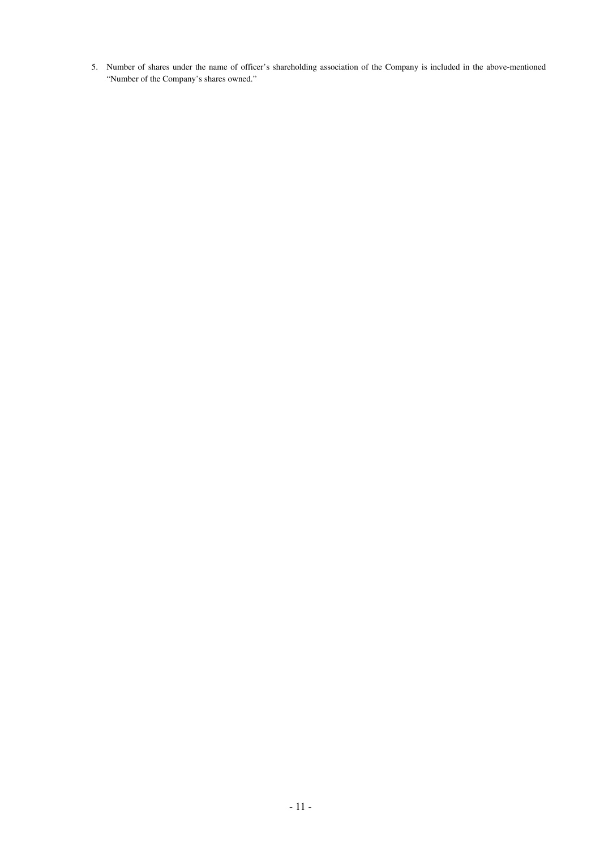5. Number of shares under the name of officer's shareholding association of the Company is included in the above-mentioned "Number of the Company's shares owned."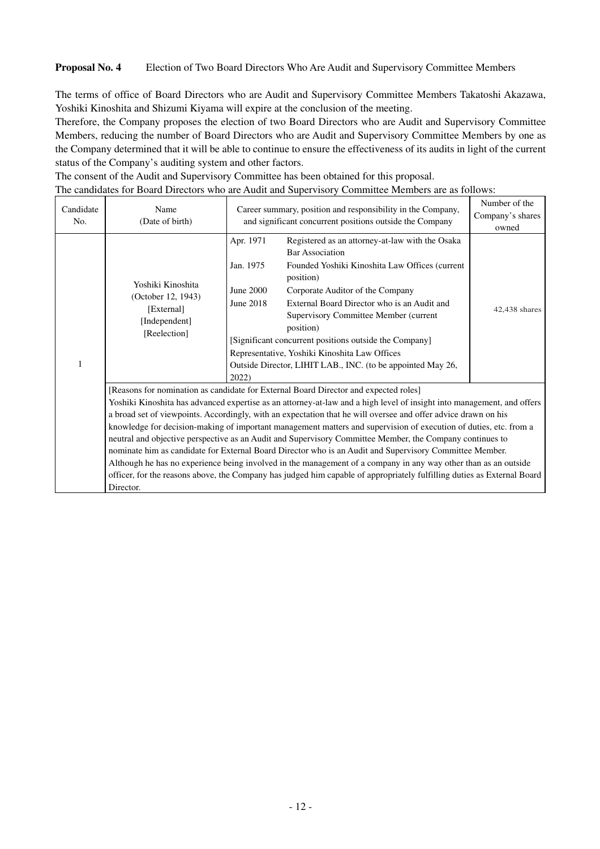### **Proposal No. 4** Election of Two Board Directors Who Are Audit and Supervisory Committee Members

The terms of office of Board Directors who are Audit and Supervisory Committee Members Takatoshi Akazawa, Yoshiki Kinoshita and Shizumi Kiyama will expire at the conclusion of the meeting.

Therefore, the Company proposes the election of two Board Directors who are Audit and Supervisory Committee Members, reducing the number of Board Directors who are Audit and Supervisory Committee Members by one as the Company determined that it will be able to continue to ensure the effectiveness of its audits in light of the current status of the Company's auditing system and other factors.

|                  |                                                                                        |                                                                                                                                                                                                                                                                                                                                                                                                                                                                                                                                                                                                                                                                                                                                                                                                                                                                                                                            | The candidates for Board Directors who are Audit and Supervisory Committee Members are as follows:                                                                                                                                                                                                                                                                                                                                                          |               |
|------------------|----------------------------------------------------------------------------------------|----------------------------------------------------------------------------------------------------------------------------------------------------------------------------------------------------------------------------------------------------------------------------------------------------------------------------------------------------------------------------------------------------------------------------------------------------------------------------------------------------------------------------------------------------------------------------------------------------------------------------------------------------------------------------------------------------------------------------------------------------------------------------------------------------------------------------------------------------------------------------------------------------------------------------|-------------------------------------------------------------------------------------------------------------------------------------------------------------------------------------------------------------------------------------------------------------------------------------------------------------------------------------------------------------------------------------------------------------------------------------------------------------|---------------|
| Candidate<br>No. | Name<br>(Date of birth)                                                                | Career summary, position and responsibility in the Company,<br>and significant concurrent positions outside the Company                                                                                                                                                                                                                                                                                                                                                                                                                                                                                                                                                                                                                                                                                                                                                                                                    | Number of the<br>Company's shares<br>owned                                                                                                                                                                                                                                                                                                                                                                                                                  |               |
| 1                | Yoshiki Kinoshita<br>(October 12, 1943)<br>[External]<br>[Independent]<br>[Reelection] | Apr. 1971<br>Jan. 1975<br>June 2000<br>June 2018<br>2022                                                                                                                                                                                                                                                                                                                                                                                                                                                                                                                                                                                                                                                                                                                                                                                                                                                                   | Registered as an attorney-at-law with the Osaka<br><b>Bar Association</b><br>Founded Yoshiki Kinoshita Law Offices (current<br>position)<br>Corporate Auditor of the Company<br>External Board Director who is an Audit and<br>Supervisory Committee Member (current<br>position)<br>[Significant concurrent positions outside the Company]<br>Representative, Yoshiki Kinoshita Law Offices<br>Outside Director, LIHIT LAB., INC. (to be appointed May 26, | 42,438 shares |
|                  | Director.                                                                              | [Reasons for nomination as candidate for External Board Director and expected roles]<br>Yoshiki Kinoshita has advanced expertise as an attorney-at-law and a high level of insight into management, and offers<br>a broad set of viewpoints. Accordingly, with an expectation that he will oversee and offer advice drawn on his<br>knowledge for decision-making of important management matters and supervision of execution of duties, etc. from a<br>neutral and objective perspective as an Audit and Supervisory Committee Member, the Company continues to<br>nominate him as candidate for External Board Director who is an Audit and Supervisory Committee Member.<br>Although he has no experience being involved in the management of a company in any way other than as an outside<br>officer, for the reasons above, the Company has judged him capable of appropriately fulfilling duties as External Board |                                                                                                                                                                                                                                                                                                                                                                                                                                                             |               |

The consent of the Audit and Supervisory Committee has been obtained for this proposal.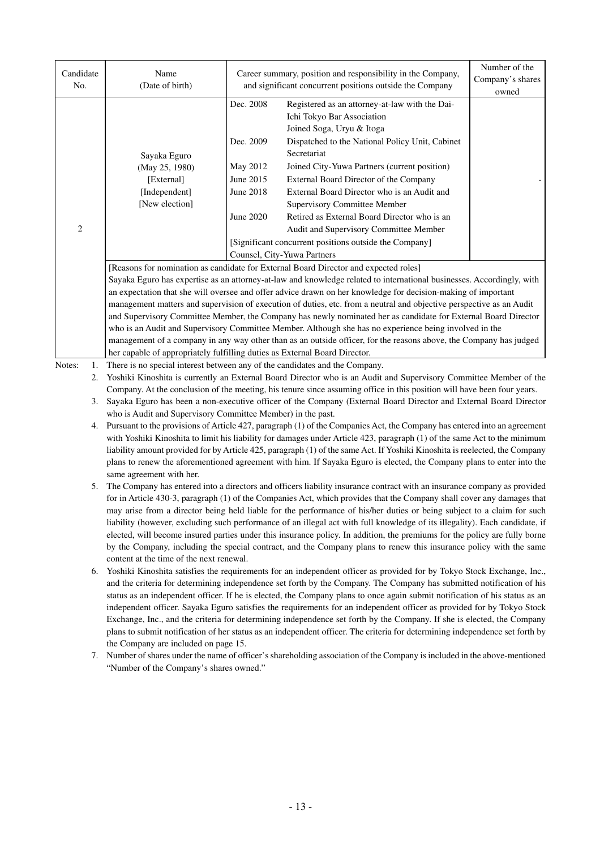| Candidate<br>No. | Name<br>(Date of birth)                                                              | Career summary, position and responsibility in the Company,<br>and significant concurrent positions outside the Company | Number of the<br>Company's shares<br>owned                                                                              |  |  |  |  |  |
|------------------|--------------------------------------------------------------------------------------|-------------------------------------------------------------------------------------------------------------------------|-------------------------------------------------------------------------------------------------------------------------|--|--|--|--|--|
|                  |                                                                                      | Dec. 2008                                                                                                               | Registered as an attorney-at-law with the Dai-<br>Ichi Tokyo Bar Association<br>Joined Soga, Uryu & Itoga               |  |  |  |  |  |
|                  | Sayaka Eguro                                                                         | Dec. 2009                                                                                                               | Dispatched to the National Policy Unit, Cabinet<br>Secretariat                                                          |  |  |  |  |  |
|                  | (May 25, 1980)                                                                       | May 2012                                                                                                                | Joined City-Yuwa Partners (current position)                                                                            |  |  |  |  |  |
|                  | [External]                                                                           | June 2015                                                                                                               | External Board Director of the Company                                                                                  |  |  |  |  |  |
|                  | [Independent]                                                                        | June 2018                                                                                                               | External Board Director who is an Audit and                                                                             |  |  |  |  |  |
|                  | [New election]                                                                       |                                                                                                                         | <b>Supervisory Committee Member</b>                                                                                     |  |  |  |  |  |
|                  |                                                                                      | June 2020                                                                                                               | Retired as External Board Director who is an                                                                            |  |  |  |  |  |
| 2                |                                                                                      |                                                                                                                         | Audit and Supervisory Committee Member                                                                                  |  |  |  |  |  |
|                  |                                                                                      | [Significant concurrent positions outside the Company]                                                                  |                                                                                                                         |  |  |  |  |  |
|                  |                                                                                      | Counsel, City-Yuwa Partners                                                                                             |                                                                                                                         |  |  |  |  |  |
|                  | [Reasons for nomination as candidate for External Board Director and expected roles] |                                                                                                                         |                                                                                                                         |  |  |  |  |  |
|                  |                                                                                      |                                                                                                                         | Sayaka Eguro has expertise as an attorney-at-law and knowledge related to international businesses. Accordingly, with   |  |  |  |  |  |
|                  |                                                                                      |                                                                                                                         | an expectation that she will oversee and offer advice drawn on her knowledge for decision-making of important           |  |  |  |  |  |
|                  |                                                                                      |                                                                                                                         | management matters and supervision of execution of duties, etc. from a neutral and objective perspective as an Audit    |  |  |  |  |  |
|                  |                                                                                      |                                                                                                                         | and Supervisory Committee Member, the Company has newly nominated her as candidate for External Board Director          |  |  |  |  |  |
|                  |                                                                                      |                                                                                                                         | who is an Audit and Supervisory Committee Member. Although she has no experience being involved in the                  |  |  |  |  |  |
|                  | her capable of appropriately fulfilling duties as External Board Director.           |                                                                                                                         | management of a company in any way other than as an outside officer, for the reasons above, the Company has judged      |  |  |  |  |  |
| Notes:<br>1.     | There is no special interest between any of the candidates and the Company.          |                                                                                                                         |                                                                                                                         |  |  |  |  |  |
| 2.               |                                                                                      |                                                                                                                         | Yoshiki Kinoshita is currently an External Board Director who is an Audit and Supervisory Committee Member of the       |  |  |  |  |  |
|                  |                                                                                      |                                                                                                                         | Company. At the conclusion of the meeting, his tenure since assuming office in this position will have been four years. |  |  |  |  |  |

- 3. Sayaka Eguro has been a non-executive officer of the Company (External Board Director and External Board Director who is Audit and Supervisory Committee Member) in the past.
- 4. Pursuant to the provisions of Article 427, paragraph (1) of the Companies Act, the Company has entered into an agreement with Yoshiki Kinoshita to limit his liability for damages under Article 423, paragraph (1) of the same Act to the minimum liability amount provided for by Article 425, paragraph (1) of the same Act. If Yoshiki Kinoshita is reelected, the Company plans to renew the aforementioned agreement with him. If Sayaka Eguro is elected, the Company plans to enter into the same agreement with her.
- 5. The Company has entered into a directors and officers liability insurance contract with an insurance company as provided for in Article 430-3, paragraph (1) of the Companies Act, which provides that the Company shall cover any damages that may arise from a director being held liable for the performance of his/her duties or being subject to a claim for such liability (however, excluding such performance of an illegal act with full knowledge of its illegality). Each candidate, if elected, will become insured parties under this insurance policy. In addition, the premiums for the policy are fully borne by the Company, including the special contract, and the Company plans to renew this insurance policy with the same content at the time of the next renewal.
- 6. Yoshiki Kinoshita satisfies the requirements for an independent officer as provided for by Tokyo Stock Exchange, Inc., and the criteria for determining independence set forth by the Company. The Company has submitted notification of his status as an independent officer. If he is elected, the Company plans to once again submit notification of his status as an independent officer. Sayaka Eguro satisfies the requirements for an independent officer as provided for by Tokyo Stock Exchange, Inc., and the criteria for determining independence set forth by the Company. If she is elected, the Company plans to submit notification of her status as an independent officer. The criteria for determining independence set forth by the Company are included on page 15.
- 7. Number of shares under the name of officer's shareholding association of the Company is included in the above-mentioned "Number of the Company's shares owned."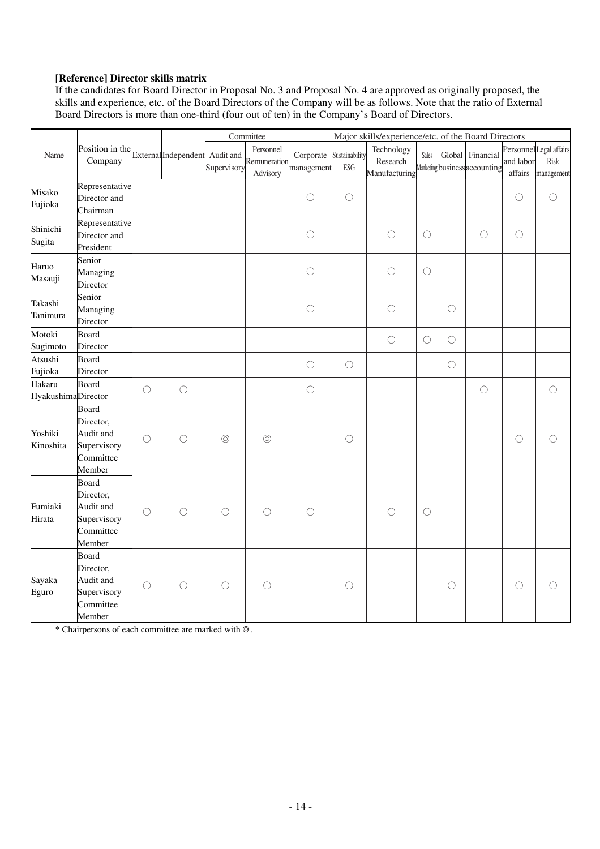### **[Reference] Director skills matrix**

If the candidates for Board Director in Proposal No. 3 and Proposal No. 4 are approved as originally proposed, the skills and experience, etc. of the Board Directors of the Company will be as follows. Note that the ratio of External Board Directors is more than one-third (four out of ten) in the Company's Board of Directors.

|                                      |                                                                       |            | External Independent Audit and | Committee      |                                       | Major skills/experience/etc. of the Board Directors |                       |                                         |            |            |                                                   |                      |                                                      |
|--------------------------------------|-----------------------------------------------------------------------|------------|--------------------------------|----------------|---------------------------------------|-----------------------------------------------------|-----------------------|-----------------------------------------|------------|------------|---------------------------------------------------|----------------------|------------------------------------------------------|
| Name                                 | Position in the<br>Company                                            |            |                                | Supervisory    | Personnel<br>Remuneration<br>Advisory | Corporate<br>management                             | Sustainability<br>ESG | Technology<br>Research<br>Manufacturing | Sales      |            | Global Financial<br>Marketing business accounting | and labor<br>affairs | Personnel Legal affairs<br><b>Risk</b><br>management |
| Misako<br>Fujioka                    | Representative<br>Director and<br>Chairman                            |            |                                |                |                                       | $\bigcirc$                                          | $\bigcirc$            |                                         |            |            |                                                   | $\bigcirc$           | $\bigcirc$                                           |
| Shinichi<br>Sugita                   | Representative<br>Director and<br>President                           |            |                                |                |                                       | $\bigcirc$                                          |                       | $\bigcirc$                              | $\bigcirc$ |            | $\bigcirc$                                        | $\bigcirc$           |                                                      |
| Haruo<br>Masauji                     | Senior<br>Managing<br>Director                                        |            |                                |                |                                       | $\bigcirc$                                          |                       | $\bigcirc$                              | $\bigcirc$ |            |                                                   |                      |                                                      |
| Takashi<br>Tanimura                  | Senior<br>Managing<br>Director                                        |            |                                |                |                                       | $\bigcirc$                                          |                       | $\bigcirc$                              |            | $\bigcirc$ |                                                   |                      |                                                      |
| Motoki<br>Sugimoto                   | Board<br>Director                                                     |            |                                |                |                                       |                                                     |                       | $\bigcirc$                              | $\bigcirc$ | $\bigcirc$ |                                                   |                      |                                                      |
| Atsushi<br>Fujioka                   | Board<br>Director                                                     |            |                                |                |                                       | $\bigcirc$                                          | $\bigcirc$            |                                         |            | $\bigcirc$ |                                                   |                      |                                                      |
| Hakaru<br><b>Hyakushima</b> Director | Board                                                                 | $\bigcirc$ | $\bigcirc$                     |                |                                       | $\bigcirc$                                          |                       |                                         |            |            | $\bigcirc$                                        |                      | $\bigcirc$                                           |
| Yoshiki<br>Kinoshita                 | Board<br>Director,<br>Audit and<br>Supervisory<br>Committee<br>Member | $\bigcirc$ | $\bigcirc$                     | $\circledcirc$ | $\circledcirc$                        |                                                     | $\bigcirc$            |                                         |            |            |                                                   | $\bigcirc$           |                                                      |
| Fumiaki<br>Hirata                    | Board<br>Director,<br>Audit and<br>Supervisory<br>Committee<br>Member | $\bigcirc$ | $\bigcirc$                     | $\bigcirc$     | $\bigcirc$                            | $\bigcirc$                                          |                       | $\bigcirc$                              | $\bigcirc$ |            |                                                   |                      |                                                      |
| Sayaka<br>Eguro                      | Board<br>Director,<br>Audit and<br>Supervisory<br>Committee<br>Member | $\bigcirc$ | $\bigcirc$                     | $\bigcirc$     | $\bigcirc$                            |                                                     | $\bigcirc$            |                                         |            | $\bigcirc$ |                                                   | $\bigcirc$           |                                                      |

\* Chairpersons of each committee are marked with ◎.